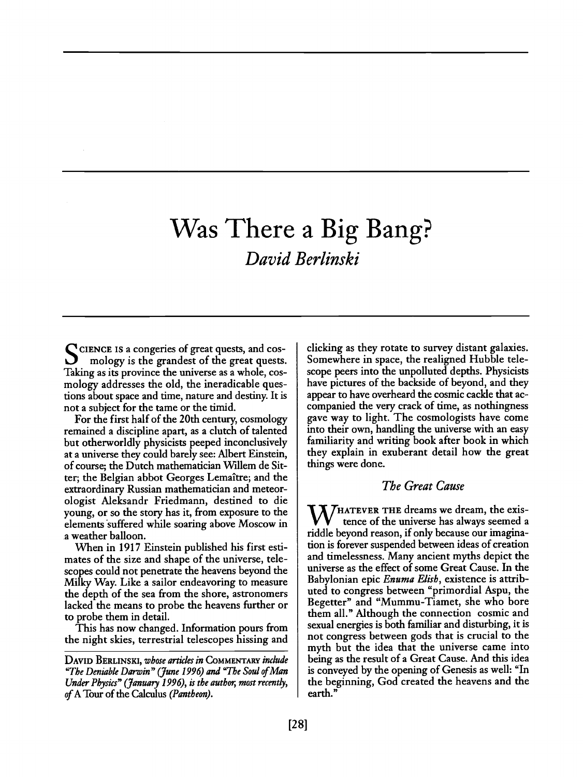# **Was There a Big Bang?** *David Berlinski*

**CIENCE IS** a congeries of great quests, and cosmology is the grandest of the great quests. Taking as its province the universe as a whole, cosmology addresses the old, the ineradicable questions about space and time, nature and destiny. It is not a subject for the tame or the timid.

For the first half of the 20th century, cosmology remained a discipline apart, as a clutch of talented but otherworldly physicists peeped inconclusively at a universe they could barely see: Albert Einstein, of course; the Dutch mathematician Willem de Sitter; the Belgian abbot Georges Lemailtre; and the extraordinary Russian mathematician and meteorologist Aleksandr Friedmann, destined to die young, or so the story has it, from exposure to the elements 'suffered while soaring above Moscow in a weather balloon.

When in 1917 Einstein published his first estimates of the size and shape of the universe, telescopes could not penetrate the heavens beyond the Milky Way. Like a sailor endeavoring to measure the depth of the sea from the shore, astronomers lacked the means to probe the heavens further or to probe them in detail.

This has now changed. Information pours from the night skies, terrestrial telescopes hissing and clicking as they rotate to survey distant galaxies. Somewhere in space, the realigned Hubble telescope peers into the unpolluted depths. Physicists have pictures of the backside of beyond, and they appear to have overheard the cosmic cackle that accompanied the very crack of time, as nothingness gave way to light. The cosmologists have come into their own, handling the universe with an easy familiarity and writing book after book in which they explain in exuberant detail how the great things were done.

#### *The Great Cause*

 $\bigvee$ HATEVER THE dreams we dream, the existence of the universe has always seemed a riddle beyond reason, if only because our imagination is forever suspended between ideas of creation and timelessness. Many ancient myths depict the universe as the effect of some Great Cause. In the Babylonian epic *Enuma Elish,* existence is attributed to congress between "primordial Aspu, the Begetter" and "Mummu-Tiamet, she who bore them all." Although the connection cosmic and sexual energies is both familiar and disturbing, it is not congress between gods that is crucial to the myth but the idea that the universe came into being as the result of a Great Cause. And this idea is conveyed by the opening of Genesis as well: "In the beginning, God created the heavens and the earth."

DAVID **BERLINSKI,** *wbose articles in* **COMMENTARY** *include "The Deniable Darwin" (June 1996) and "The Soul of Man Under Physics" (January 1996), is the author, most recently, of A* Tour of the Calculus *(Pantheon).*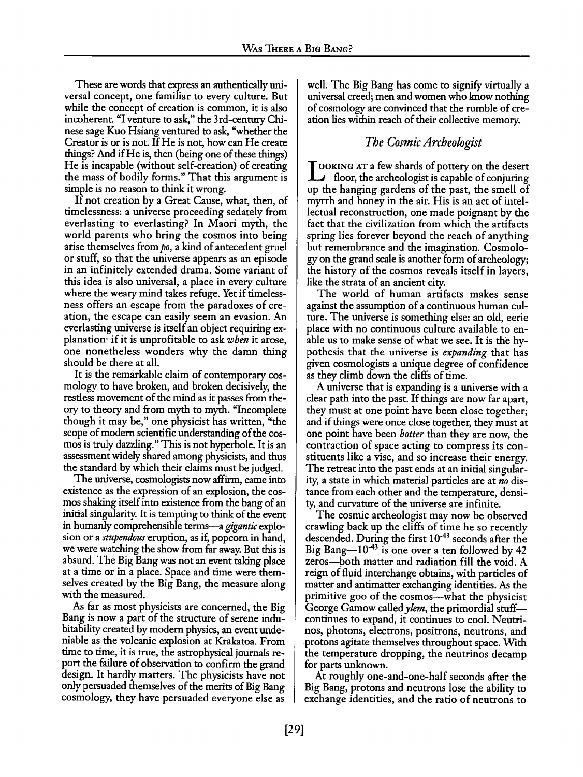These are words that express an authentically universal concept, one familiar to every culture. But while the concept of creation is common, it is also incoherent. "I venture to ask," the 3rd-century Chinese sage Kuo Hsiang ventured to ask, "whether the Creator is or is not. If He is not, how can He create things? And if He is, then (being one of these things) He is incapable (without self-creation) of creating the mass of bodily forms." That this argument is simple is no reason to think it wrong.

If not creation by a Great Cause, what, then, of timelessness: a universe proceeding sedately from everlasting to everlasting? In Maori myth, the world parents who bring the cosmos into being arise themselves from *po,* a kind of antecedent gruel or stuff, so that the universe appears as an episode in an infinitely extended drama. Some variant of this idea is also universal, a place in every culture where the weary mind takes refuge. Yet if timelessness offers an escape from the paradoxes of creation, the escape can easily seem an evasion. An everlasting universe is itself an object requiring explanation: if it is unprofitable to ask *when* it arose, one nonetheless wonders why the damn thing should be there at all.

It is the remarkable claim of contemporary cosmology to have broken, and broken decisively, the restless movement of the mind as it passes from theory to theory and from myth to myth. "Incomplete though it may be," one physicist has written, "the scope of modern scientific understanding of the cosmos is truly dazzling." This is not hyperbole. It is an assessment widely shared among physicists, and thus the standard by which their claims must be judged.

The universe, cosmologists now affirm, came into existence as the expression of an explosion, the cosmos shaking itself into existence from the bang of an initial singularity. It is tempting to think of the event in humanly comprehensible terms-a *gigantic* explosion or a *stupendous* eruption, as if, popcorn in hand, we were watching the show from far away. But this is absurd. The Big Bang was not an event taking place at a time or in a place. Space and time were themselves created by the Big Bang, the measure along with the measured.

As far as most physicists are concerned, the Big Bang is now a part of the structure of serene indubitability created by modern physics, an event undeniable as the volcanic explosion at Krakatoa. From time to time, it is true, the astrophysical journals report the failure of observation to confirm the grand design. It hardly matters. The physicists have not only persuaded themselves of the merits of Big Bang cosmology, they have persuaded everyone else as well. The Big Bang has come to signify virtually a universal creed; men and women who know nothing of cosmology are convinced that the rumble of creation lies within reach of their collective memory.

#### *The Cosmic Archeologist*

**OOKING** AT a few shards of pottery on the desert  $\blacktriangle$  floor, the archeologist is capable of conjuring up the hanging gardens of the past, the smell of myrrh and honey in the air. His is an act of intellectual reconstruction, one made poignant by the fact that the civilization from which the artifacts spring lies forever beyond the reach of anything but remembrance and the imagination. Cosmology on the grand scale is another form of archeology; the history of the cosmos reveals itself in layers, like the strata of an ancient city.

The world of human artifacts makes sense against the assumption of a continuous human culture. The universe is something else: an old, eerie place with no continuous culture available to enable us to make sense of what we see. It is the hypothesis that the universe is *expanding* that has given cosmologists a unique degree of confidence as they climb down the cliffs of time.

A universe that is expanding is a universe with a clear path into the past. If things are now far apart, they must at one point have been close together; and if things were once close together, they must at one point have been *hotter* than they are now, the contraction of space acting to compress its constituents like a vise, and so increase their energy. The retreat into the past ends at an initial singularity, a state in which material particles are at *no* distance from each other and the temperature, density, and curvature of the universe are infinite.

The cosmic archeologist may now be observed crawling back up the cliffs of time he so recently descended. During the first 10<sup>-43</sup> seconds after the Big Bang $-10^{-43}$  is one over a ten followed by 42 zeros-both matter and radiation fill the void. A reign of fluid interchange obtains, with particles of matter and antimatter exchanging identities. As the primitive goo of the cosmos-what the physicist George Gamow called *ylem*, the primordial stuffcontinues to expand, it continues to cool. Neutrinos, photons, electrons, positrons, neutrons, and protons agitate themselves throughout space. With the temperature dropping, the neutrinos decamp for parts unknown.

At roughly one-and-one-half seconds after the Big Bang, protons and neutrons lose the ability to exchange identities, and the ratio of neutrons to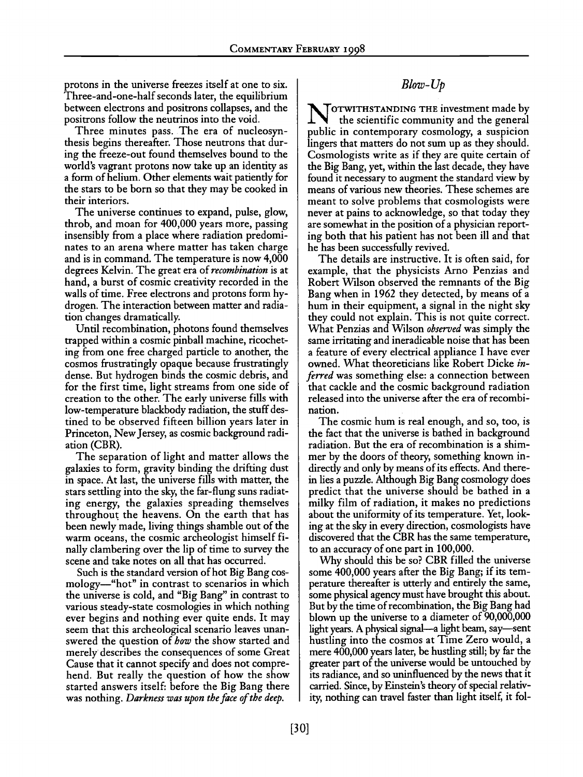protons in the universe freezes itself at one to six. Three-and-one-half seconds later, the equilibrium between electrons and positrons collapses, and the positrons follow the neutrinos into the void.

Three minutes pass. The era of nucleosynthesis begins thereafter. Those neutrons that during the freeze-out found themselves bound to the world's vagrant protons now take up an identity as a form of helium. Other elements wait patiently for the stars to be born so that they may be cooked in their interiors.

The universe continues to expand, pulse, glow, throb, and moan for 400,000 years more, passing insensibly from a place where radiation predominates to an arena where matter has taken charge and is in command. The temperature is now 4,000 degrees Kelvin. The great era of *recombination* is at hand, a burst of cosmic creativity recorded in the walls of time. Free electrons and protons form hydrogen. The interaction between matter and radiation changes dramatically.

Until recombination, photons found themselves trapped within a cosmic pinball machine, ricocheting from one free charged particle to another, the cosmos frustratingly opaque because frustratingly dense. But hydrogen binds the cosmic debris, and for the first time, light streams from one side of creation to the other. The early universe fills with low-temperature blackbody radiation, the stuff destined to be observed fifteen billion years later in Princeton, New Jersey, as cosmic background radiation (CBR).

The separation of light and matter allows the galaxies to form, gravity binding the drifting dust in space. At last, the universe fills with matter, the stars settling into the sky, the far-flung suns radiating energy, the galaxies spreading themselves throughout the heavens. On the earth that has been newly made, living things shamble out of the warm oceans, the cosmic archeologist himself finally clambering over the lip of time to survey the scene and take notes on all that has occurred.

Such is the standard version of hot Big Bang cosmology-"hot" in contrast to scenarios in which the universe is cold, and "Big Bang" in contrast to various steady-state cosmologies in which nothing ever begins and nothing ever quite ends. It may seem that this archeological scenario leaves unanswered the question of *how* the show started and merely describes the consequences of some Great Cause that it cannot specify and does not comprehend. But really the question of how the show started answers itself: before the Big Bang there was nothing. *Darkness was upon the face of the deep.*

## *Blow- Up*

TOTWITHSTANDING THE investment made by the scientific community and the general public in contemporary cosmology, a suspicion lingers that matters do not sum up as they should. Cosmologists write as if they are quite certain of the Big Bang, yet, within the last decade, they have found it necessary to augment the standard view by means of various new theories. These schemes are meant to solve problems that cosmologists were never at pains to acknowledge, so that today they are somewhat in the position of a physician reporting both that his patient has not been ill and that he has been successfully revived.

The details are instructive. It is often said, for example, that the physicists Arno Penzias and Robert Wilson observed the remnants of the Big Bang when in 1962 they detected, by means of a hum in their equipment, a signal in the night sky they could not explain. This is not quite correct. What Penzias and Wilson *observed* was simply the same irritating and ineradicable noise that has been a feature of every electrical appliance I have ever owned. What theoreticians like Robert Dicke *inferred* was something else: a connection between that cackle and the cosmic background radiation released into the universe after the era of recombination.

The cosmic hum is real enough, and so, too, is the fact that the universe is bathed in background radiation. But the era of recombination is a shimmer by the doors of theory, something known indirectly and only by means of its effects. And therein lies a puzzle. Although Big Bang cosmology does predict that the universe should be bathed in a milky film of radiation, it makes no predictions about the uniformity of its temperature. Yet, looking at the sky in every direction, cosmologists have discovered that the CBR has the same temperature, to an accuracy of one part in 100,000.

Why should this be so? CBR filled the universe some 400,000 years after the Big Bang; if its temperature thereafter is utterly and entirely the same, some physical agency must have brought this about. But by the time of recombination, the Big Bang had blown up the universe to a diameter of 90,000,000 light years. A physical signal-a light beam, say-sent hustling into the cosmos at Time Zero would, a mere 400,000 years later, be hustling still; by far the greater part of the universe would be untouched by its radiance, and so uninfluenced by the news that it carried. Since, by Einstein's theory of special relativity, nothing can travel faster than light itself, it fol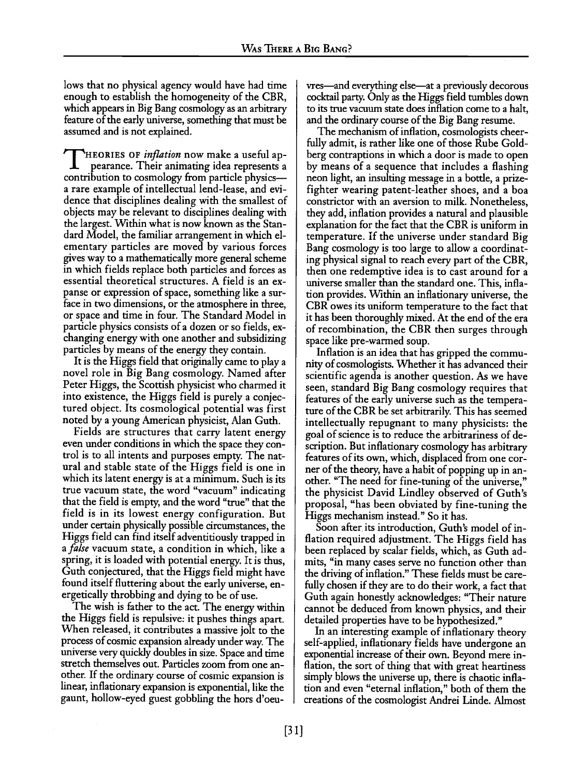lows that no physical agency would have had time enough to establish the homogeneity of the CBR, which appears in Big Bang cosmology as an arbitrary feature of the early universe, something that must be assumed and is not explained.

THEORIES **OF** *inflation* now make a useful appearance. Their animating idea represents a contribution to cosmology from particle physicsa rare example of intellectual lend-lease, and evidence that disciplines dealing with the smallest of objects may be relevant to disciplines dealing with the largest. Within what is now known as the Standard Model, the familiar arrangement in which elementary particles are moved by various forces gives way to a mathematically more general scheme in which fields replace both particles and forces as essential theoretical structures. A field is an expanse or expression of space, something like a surface in two dimensions, or the atmosphere in three, or space and time in four. The Standard Model in particle physics consists of a dozen or so fields, exchanging energy with one another and subsidizing particles by means of the energy they contain.

It is the Higgs field that originally came to play a novel role in Big Bang cosmology. Named after Peter Higgs, the Scottish physicist who charmed it into existence, the Higgs field is purely a conjectured object. Its cosmological potential was first noted by a young American physicist, Alan Guth.

Fields are structures that carry latent energy even under conditions in which the space they control is to all intents and purposes empty. The natural and stable state of the Higgs field is one in which its latent energy is at a minimum. Such is its true vacuum state, the word "vacuum" indicating that the field is empty, and the word "true" that the field is in its lowest energy configuration. But under certain physically possible circumstances, the Higgs field can find itself adventitiously trapped in *a false* vacuum state, a condition in which, like a spring, it is loaded with potential energy. It is thus, Guth conjectured, that the Higgs field might have found itself fluttering about the early universe, energetically throbbing and dying to be of use.

The wish is father to the act. The energy within the Higgs field is repulsive: it pushes things apart. When released, it contributes a massive jolt to the process of cosmic expansion already under way. The universe very quickly doubles in size. Space and time stretch themselves out. Particles zoom from one another. If the ordinary course of cosmic expansion is linear, inflationary expansion is exponential, like the gaunt, hollow-eyed guest gobbling the hors d'oeuvres-and everything else-at a previously decorous cocktail party. Only as the Higgs field tumbles down to its true vacuum state does inflation come to a halt, and the ordinary course of the Big Bang resume.

The mechanism of inflation, cosmologists cheerfully admit, is rather like one of those Rube Goldberg contraptions in which a door is made to open by means of a sequence that includes a flashing neon light, an insulting message in a bottle, a prizefighter wearing patent-leather shoes, and a boa constrictor with an aversion to milk. Nonetheless, they add, inflation provides a natural and plausible explanation for the fact that the CBR is uniform in temperature. If the universe under standard Big Bang cosmology is too large to allow a coordinating physical signal to reach every part of the CBR, then one redemptive idea is to cast around for a universe smaller than the standard one. This, inflation provides. Within an inflationary universe, the CBR owes its uniform temperature to the fact that it has been thoroughly mixed. At the end of the era of recombination, the CBR then surges through space like pre-warmed soup.

Inflation is an idea that has gripped the community of cosmologists. Whether it has advanced their scientific agenda is another question. As we have seen, standard Big Bang cosmology requires that features of the early universe such as the temperature of the CBR be set arbitrarily. This has seemed intellectually repugnant to many physicists: the goal of science is to reduce the arbitrariness of description. But inflationary cosmology has arbitrary features of its own, which, displaced from one corner of the theory, have a habit of popping up in another. "The need for fine-tuning of the universe," the physicist David Lindley observed of Guth's proposal, "has been obviated by fine-tuning the Higgs mechanism instead." So it has.

Soon after its introduction, Guth's model of inflation required adjustment. The Higgs field has been replaced by scalar fields, which, as Guth admits, "in many cases serve no function other than the driving of inflation." These fields must be carefully chosen if they are to do their work, a fact that Guth again honestly acknowledges: "Their nature cannot be deduced from known physics, and their<br>detailed properties have to be hypothesized."

In an interesting example of inflationary theory self-applied, inflationary fields have undergone an exponential increase of their own. Beyond mere inflation, the sort of thing that with great heartiness simply blows the universe up, there is chaotic inflation and even "eternal inflation," both of them the creations of the cosmologist Andrei Linde. Almost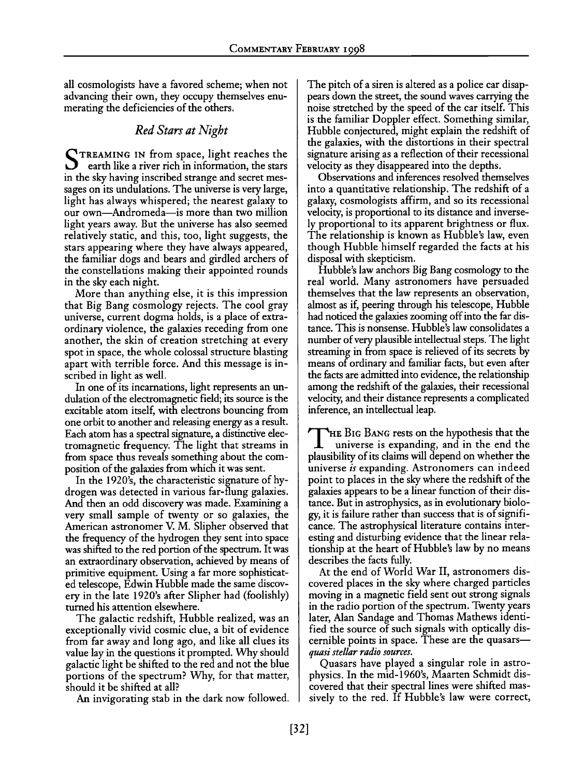all cosmologists have a favored scheme; when not advancing their own, they occupy themselves enumerating the deficiencies of the others.

### *Red Stars at Night*

TREAMING IN from space, light reaches the earth like a river rich in information, the stars in the sky having inscribed strange and secret messages on its undulations. The universe is very large, light has always whispered; the nearest galaxy to our own-Andromeda-is more than two million light years away. But the universe has also seemed relatively static, and this, too, light suggests, the stars appearing where they have always appeared, the familiar dogs and bears and girdled archers of the constellations making their appointed rounds in the sky each night.

More than anything else, it is this impression that Big Bang cosmology rejects. The cool gray universe, current dogma holds, is a place of extraordinary violence, the galaxies receding from one another, the skin of creation stretching at every spot in space, the whole colossal structure blasting apart with terrible force. And this message is inscribed in light as well.

In one of its incarnations, light represents an undulation of the electromagnetic field; its source is the excitable atom itself, with electrons bouncing from one orbit to another and releasing energy as a result. Each atom has a spectral signature, a distinctive electromagnetic frequency. The light that streams in from space thus reveals something about the composition of the galaxies from which it was sent.

In the 1920's, the characteristic signature of hydrogen was detected in various far-flung galaxies. And then an odd discovery was made. Examining a very small sample of twenty or so galaxies, the American astronomer V. M. Slipher observed that the frequency of the hydrogen they sent into space was shifted to the red portion of the spectrum. It was an extraordinary observation, achieved by means of primitive equipment. Using a far more sophisticated telescope, Edwin Hubble made the same discovery in the late 1920's after Slipher had (foolishly) turned his attention elsewhere.

The galactic redshift, Hubble realized, was an exceptionally vivid cosmic clue, a bit of evidence from far away and long ago, and like all clues its value lay in the questions it prompted. Why should galactic light be shifted to the red and not the blue portions of the spectrum? Why, for that matter, should it be shifted at all?

An invigorating stab in the dark now followed.

The pitch of a siren is altered as a police car disappears down the street, the sound waves carrying the noise stretched by the speed of the car itself. This is the familiar Doppler effect. Something similar, Hubble conjectured, might explain the redshift of the galaxies, with the distortions in their spectral signature arising as a reflection of their recessional velocity as they disappeared into the depths.

Observations and inferences resolved themselves into a quantitative relationship. The redshift of a galaxy, cosmologists affirm, and so its recessional velocity, is proportional to its distance and inversely proportional to its apparent brightness or flux. The relationship is known as Hubble's law, even though Hubble himself regarded the facts at his disposal with skepticism.

Hubble's law anchors Big Bang cosmology to the real world. Many astronomers have persuaded themselves that the law represents an observation, almost as if, peering through his telescope, Hubble had noticed the galaxies zooming off into the far distance. This is nonsense. Hubble's law consolidates a number of very plausible intellectual steps. The light streaming in from space is relieved of its secrets by means of ordinary and familiar facts, but even after the facts are admitted into evidence, the relationship among the redshift of the galaxies, their recessional velocity, and their distance represents a complicated inference, an intellectual leap.

**HE** BIG BANG rests on the hypothesis that the universe is expanding, and in the end the plausibility of its claims will depend on whether the universe *is* expanding. Astronomers can indeed point to places in the sky where the redshift of the galaxies appears to be a linear function of their distance. But in astrophysics, as in evolutionary biology, it is failure rather than success that is of significance. The astrophysical literature contains interesting and disturbing evidence that the linear relationship at the heart of Hubble's law by no means describes the facts fully.

At the end of World War II, astronomers discovered places in the sky where charged particles moving in a magnetic field sent out strong signals in the radio portion of the spectrum. Twenty years later, Alan Sandage and Thomas Mathews identified the source of such signals with optically discernible points in space. These are the quasars*quasi stellar radio sources.*

Quasars have played a singular role in astrophysics. In the mid-1960's, Maarten Schmidt discovered that their spectral lines were shifted massively to the red. If Hubble's law were correct,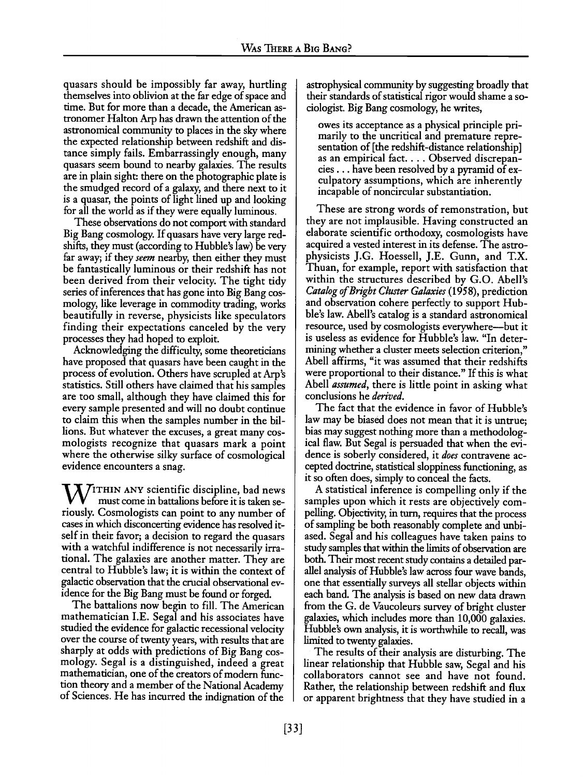quasars should be impossibly far away, hurtling themselves into oblivion at the far edge of space and time. But for more than a decade, the American astronomer Halton Arp has drawn the attention of the astronomical community to places in the sky where the expected relationship between redshift and distance simply fails. Embarrassingly enough, many quasars seem bound to nearby galaxies. The results are in plain sight: there on the photographic plate is the smudged record of a galaxy, and there next to it is a quasar, the points of light lined up and looking for all the world as if they were equally luminous.

These observations do not comport with standard Big Bang cosmology. If quasars have very large redshifts, they must (according to Hubble's law) be very far away; if they *seem* nearby, then either they must be fantastically luminous or their redshift has not been derived from their velocity. The tight tidy series of inferences that has gone into Big Bang cosmology, like leverage in commodity trading, works beautifully in reverse, physicists like speculators finding their expectations canceled by the very processes they had hoped to exploit.

Acknowledging the difficulty, some theoreticians have proposed that quasars have been caught in the process of evolution. Others have scrupled at Arp's statistics. Still others have claimed that his samples are too small, although they have claimed this for every sample presented and will no doubt continue to claim this when the samples number in the billions. But whatever the excuses, a great many cosmologists recognize that quasars mark a point where the otherwise silky surface of cosmological evidence encounters a snag.

TTHIN **~WI~** ANY scientific discipline, bad news must come in battalions before it is taken seriously. Cosmologists can point to any number of cases in which disconcerting evidence has resolved itself in their favor; a decision to regard the quasars with a watchful indifference is not necessarily irrational. The galaxies are another matter. They are central to Hubble's law; it is within the context of galactic observation that the crucial observational evidence for the Big Bang must be found or forged.

The battalions now begin to fill. The American mathematician I.E. Segal and his associates have studied the evidence for galactic recessional velocity over the course of twenty years, with results that are sharply at odds with predictions of Big Bang cosmology. Segal is a distinguished, indeed a great mathematician, one of the creators of modern function theory and a member of the National Academy of Sciences. He has incurred the indignation of the astrophysical community by suggesting broadly that their standards of statistical rigor would shame a sociologist. Big Bang cosmology, he writes,

owes its acceptance as a physical principle pri-<br>marily to the uncritical and premature repre-<br>sentation of [the redshift-distance relationship]<br>as an empirical fact.... Observed discrepan $cies \ldots$  have been resolved by a pyramid of exculpatory assumptions, which are inherently incapable of noncircular substantiation.

These are strong words of remonstration, but they are not implausible. Having constructed an elaborate scientific orthodoxy, cosmologists have acquired a vested interest in its defense. The astrophysicists J.G. Hoessell, J.E. Gunn, and TX. Thuan, for example, report with satisfaction that within the structures described by G.O. Abell's *Catalog of Bright Cluster Galaxies* (1958), prediction and observation cohere perfectly to support Hubble's law. Abell's catalog is a standard astronomical resource, used by cosmologists everywhere—but it is useless as evidence for Hubble's law. "In determining whether a cluster meets selection criterion," Abell affirms, "it was assumed that their redshifts were proportional to their distance." If this is what Abell *assumed,* there is little point in asking what conclusions he *derived.*

The fact that the evidence in favor of Hubble's law may be biased does not mean that it is untrue;<br>bias may suggest nothing more than a methodological flaw. But Segal is persuaded that when the evidence is soberly considered, it *does* contravene accepted doctrine, statistical sloppiness functioning, as it so often does, simply to conceal the facts.

A statistical inference is compelling only if the samples upon which it rests are objectively compelling. Objectivity, in turn, requires that the process of sampling be both reasonably complete and unbiased. Segal and his colleagues have taken pains to study samples that within the limits of observation are both. Their most recent study contains a detailed parallel analysis of Hubble's law across four wave bands, one that essentially surveys all stellar objects within each band. The analysis is based on new data drawn from the G. de Vaucoleurs survey of bright cluster galaxies, which includes more than 10,000 galaxies. Hubble's own analysis, it is worthwhile to recall, was limited to twenty galaxies.

The results of their analysis are disturbing. The linear relationship that Hubble saw, Segal and his collaborators cannot see and have not found. Rather, the relationship between redshift and flux or apparent brightness that they have studied in a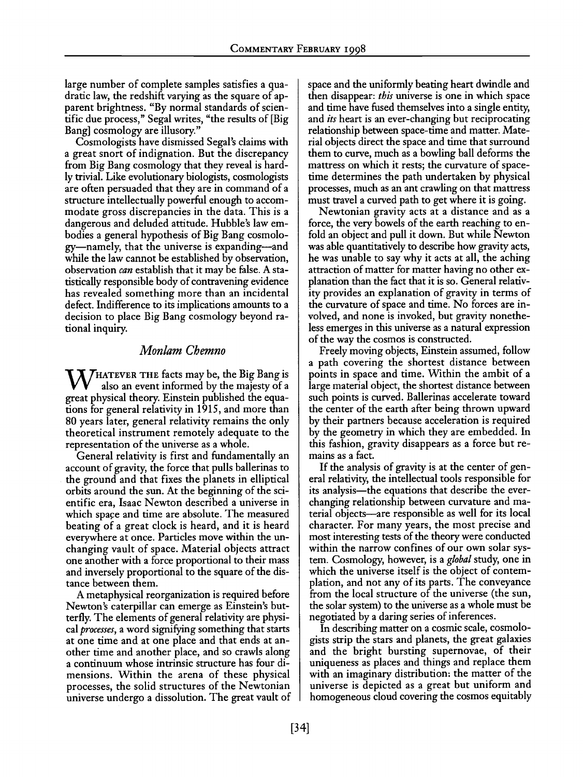large number of complete samples satisfies a quadratic law, the redshift varying as the square of apparent brightness. "By normal standards of scientific due process," Segal writes, "the results of [Big Bang] cosmology are illusory."

Cosmologists have dismissed Segal's claims with a great snort of indignation. But the discrepancy from Big Bang cosmology that they reveal is hardly trivial. Like evolutionary biologists, cosmologists are often persuaded that they are in command of a structure intellectually powerful enough to accommodate gross discrepancies in the data. This is a dangerous and deluded attitude. Hubble's law embodies a general hypothesis of Big Bang cosmology-namely, that the universe is expanding-and while the law cannot be established by observation, observation *can* establish that it may be false. A statistically responsible body of contravening evidence has revealed something more than an incidental defect. Indifference to its implications amounts to a decision to place Big Bang cosmology beyond rational inquiry.

#### *Monlam Chemno*

 $\Lambda$ /HATEVER THE facts may be, the Big Bang is also an event informed by the majesty of a great physical theory. Einstein published the equations for general relativity in 1915, and more than 80 years later, general relativity remains the only theoretical instrument remotely adequate to the representation of the universe as a whole.

General relativity is first and fundamentally an account of gravity, the force that pulls ballerinas to the ground and that fixes the planets in elliptical orbits around the sun. At the beginning of the scientific era, Isaac Newton described a universe in which space and time are absolute. The measured beating of a great clock is heard, and it is heard everywhere at once. Particles move within the unchanging vault of space. Material objects attract one another with a force proportional to their mass and inversely proportional to the square of the distance between them.

A metaphysical reorganization is required before Newton's caterpillar can emerge as Einstein's butterfly. The elements of general relativity are physi*cal processes,* a word signifying something that starts at one time and at one place and that ends at another time and another place, and so crawls along a continuum whose intrinsic structure has four dimensions. Within the arena of these physical processes, the solid structures of the Newtonian universe undergo a dissolution. The great vault of space and the uniformly beating heart dwindle and then disappear: *this* universe is one in which space and time have fused themselves into a single entity, and *its* heart is an ever-changing but reciprocating relationship between space-time and matter. Material objects direct the space and time that surround them to curve, much as a bowling ball deforms the mattress on which it rests; the curvature of spacetime determines the path undertaken by physical processes, much as an ant crawling on that mattress must travel a curved path to get where it is going.

Newtonian gravity acts at a distance and as a force, the very bowels of the earth reaching to enfold an object and pull it down. But while Newton was able quantitatively to describe how gravity acts, he was unable to say why it acts at all, the aching attraction of matter for matter having no other explanation than the fact that it is so. General relativity provides an explanation of gravity in terms of the curvature of space and time. No forces are involved, and none is invoked, but gravity nonetheless emerges in this universe as a natural expression of the way the cosmos is constructed.

Freely moving objects, Einstein assumed, follow a path covering the shortest distance between points in space and time. Within the ambit of a large material object, the shortest distance between such points is curved. Ballerinas accelerate toward the center of the earth after being thrown upward by their partners because acceleration is required by the geometry in which they are embedded. In this fashion, gravity disappears as a force but remains as a fact.

If the analysis of gravity is at the center of general relativity, the intellectual tools responsible for its analysis—the equations that describe the everchanging relationship between curvature and material objects-are responsible as well for its local character. For many years, the most precise and most interesting tests of the theory were conducted within the narrow confines of our own solar system. Cosmology, however, is a *global* study, one in which the universe itself is the object of contemplation, and not any of its parts. The conveyance from the local structure of the universe (the sun, the solar system) to the universe as a whole must be negotiated by a daring series of inferences.

In describing matter on a cosmic scale, cosmologists strip the stars and planets, the great galaxies and the bright bursting supernovae, of their uniqueness as places and things and replace them with an imaginary distribution: the matter of the universe is depicted as a great but uniform and homogeneous cloud covering the cosmos equitably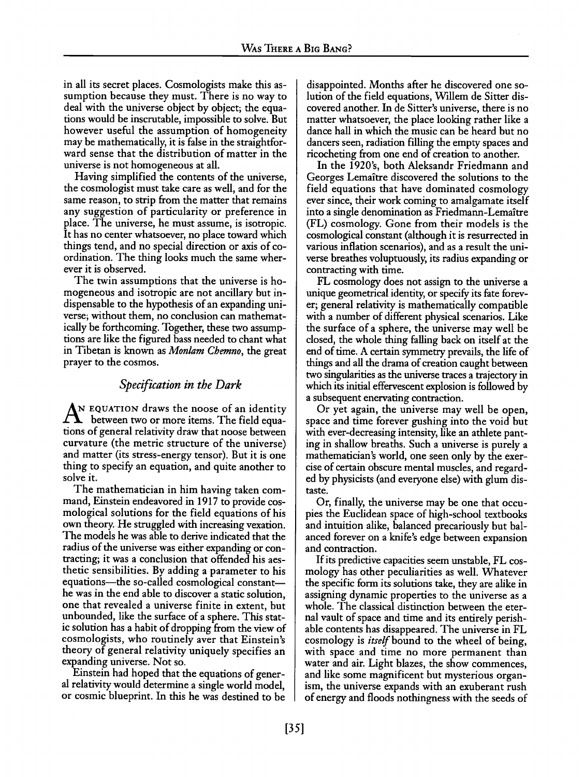in all its secret places. Cosmologists make this assumption because they must. There is no way to deal with the universe object by object; the equations would be inscrutable, impossible to solve. But however useful the assumption of homogeneity may be mathematically, it is false in the straightforward sense that the distribution of matter in the universe is not homogeneous at all.

Having simplified the contents of the universe, the cosmologist must take care as well, and for the same reason, to strip from the matter that remains any suggestion of particularity or preference in place. The universe, he must assume, is isotropic. It has no center whatsoever, no place toward which things tend, and no special direction or axis of coordination. The thing looks much the same wherever it is observed.

The twin assumptions that the universe is homogeneous and isotropic are not ancillary but indispensable to the hypothesis of an expanding universe; without them, no conclusion can mathematically be forthcoming. Together, these two assumptions are like the figured bass needed to chant what in Tibetan is known as *Monlam Chemno,* the great prayer to the cosmos.

#### *Specification in the Dark*

AN EQUATION draws the noose of an identity  $A^{\text{Newton}}$  between two or more items. The field equations of general relativity draw that noose between curvature (the metric structure of the universe) and matter (its stress-energy tensor). But it is one thing to specify an equation, and quite another to solve it.

The mathematician in him having taken command, Einstein endeavored in 1917 to provide cosmological solutions for the field equations of his own theory. He struggled with increasing vexation. The models he was able to derive indicated that the radius of the universe was either expanding or contracting; it was a conclusion that offended his aesthetic sensibilities. By adding a parameter to his equations—the so-called cosmological constant he was in the end able to discover a static solution, one that revealed a universe finite in extent, but unbounded, like the surface of a sphere. This static solution has a habit of dropping from the view of cosmologists, who routinely aver that Einstein's theory of general relativity uniquely specifies an expanding universe. Not so.

Einstein had hoped that the equations of general relativity would determine a single world model, or cosmic blueprint. In this he was destined to be

disappointed. Months after he discovered one solution of the field equations, Willem de Sitter discovered another. In de Sitter's universe, there is no matter whatsoever, the place looking rather like a dance hall in which the music can be heard but no dancers seen, radiation filling the empty spaces and ricocheting from one end of creation to another.

In the 1920's, both Aleksandr Friedmann and Georges Lemaitre discovered the solutions to the field equations that have dominated cosmology ever since, their work coming to amalgamate itself into a single denomination as Friedmann-Lemaitre (FL) cosmology. Gone from their models is the cosmological constant (although it is resurrected in various inflation scenarios), and as a result the universe breathes voluptuously, its radius expanding or contracting with time.

FL cosmology does not assign to the universe a unique geometrical identity, or specify its fate forever; general relativity is mathematically compatible with a number of different physical scenarios. Like the surface of a sphere, the universe may well be closed, the whole thing falling back on itself at the end of time. A certain symmetry prevails, the life of things and all the drama of creation caught between two singularities as the universe traces a trajectory in which its initial effervescent explosion is followed by a subsequent enervating contraction.

Or yet again, the universe may well be open, space and time forever gushing into the void but with ever-decreasing intensity, like an athlete panting in shallow breaths. Such a universe is purely a mathematician's world, one seen only by the exercise of certain obscure mental muscles, and regarded by physicists (and everyone else) with glum distaste.

Or, finally, the universe may be one that occupies the Euclidean space of high-school textbooks and intuition alike, balanced precariously but balanced forever on a knife's edge between expansion and contraction.

If its predictive capacities seem unstable, FL cosmology has other peculiarities as well. Whatever the specific form its solutions take, they are alike in assigning dynamic properties to the universe as a whole. The classical distinction between the eternal vault of space and time and its entirely perishable contents has disappeared. The universe in FL cosmology is *itself* bound to the wheel of being, with space and time no more permanent than water and air. Light blazes, the show commences, and like some magnificent but mysterious organism, the universe expands with an exuberant rush of energy and floods nothingness with the seeds of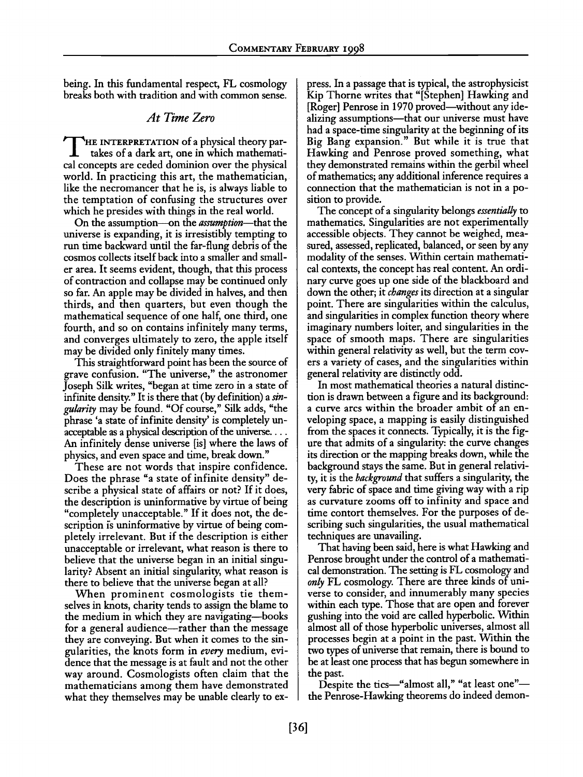being. In this fundamental respect, FL cosmology breaks both with tradition and with common sense.

#### *At Time Zero*

HE INTERPRETATION of a physical theory partakes of a dark art, one in which mathematical concepts are ceded dominion over the physical world. In practicing this art, the mathematician, like the necromancer that he is, is always liable to the temptation of confusing the structures over which he presides with things in the real world.

On the assumption--on the *assumption-that* the universe is expanding, it is irresistibly tempting to run time backward until the far-flung debris of the cosmos collects itself back into a smaller and smaller area. It seems evident, though, that this process of contraction and collapse may be continued only so far. An apple may be divided in halves, and then thirds, and then quarters, but even though the mathematical sequence of one half, one third, one fourth, and so on contains infinitely many terms, and converges ultimately to zero, the apple itself may be divided only finitely many times.

This straightforward point has been the source of grave confusion. "The universe," the astronomer Joseph Silk writes, "began at time zero in a state of infinite density." It is there that (by definition) a *singularity* may be found. "Of course," Silk adds, "the phrase 'a state of infinite density' is completely unacceptable as a physical description of the universe.... An infinitely dense universe [is] where the laws of physics, and even space and time, break down."

These are not words that inspire confidence. Does the phrase "a state of infinite density" describe a physical state of affairs or not? If it does, the description is uninformative by virtue of being "completely unacceptable." If it does not, the description is uninformative by virtue of being completely irrelevant. But if the description is either unacceptable or irrelevant, what reason is there to believe that the universe began in an initial singularity? Absent an initial singularity, what reason is there to believe that the universe began at all?

When prominent cosmologists tie themselves in knots, charity tends to assign the blame to the medium in which they are navigating-books for a general audience—rather than the message they are conveying. But when it comes to the singularities, the knots form in *every* medium, evidence that the message is at fault and not the other way around. Cosmologists often claim that the mathematicians among them have demonstrated what they themselves may be unable clearly to ex-

press. In a passage that is typical, the astrophysicist Kip Thorne writes that "[Stephen] Hawking and [Roger] Penrose in 1970 proved—without any idealizing assumptions—that our universe must have had a space-time singularity at the beginning of its Big Bang expansion." But while it is true that Hawking and Penrose proved something, what they demonstrated remains within the gerbil wheel of mathematics; any additional inference requires a connection that the mathematician is not in a position to provide.

The concept of a singularity belongs *essentially to* mathematics. Singularities are not experimentally accessible objects. They cannot be weighed, measured, assessed, replicated, balanced, or seen by any modality of the senses. Within certain mathematical contexts, the concept has real content. An ordinary curve goes up one side of the blackboard and down the other; it *changes* its direction at a singular point. There are singularities within the calculus, and singularities in complex function theory where imaginary numbers loiter, and singularities in the space of smooth maps. There are singularities within general relativity as well, but the term covers a variety of cases, and the singularities within general relativity are distinctly odd.

In most mathematical theories a natural distinction is drawn between a figure and its background: a curve arcs within the broader ambit of an enveloping space, a mapping is easily distinguished from the spaces it connects. Typically, it is the figure that admits of a singularity: the curve changes its direction or the mapping breaks down, while the background stays the same. But in general relativity, it is the *background* that suffers a singularity, the very fabric of space and time giving way with a rip as curvature zooms off to infinity and space and time contort themselves. For the purposes of describing such singularities, the usual mathematical techniques are unavailing.

That having been said, here is what Hawking and Penrose brought under the control of a mathematical demonstration. The setting is FL cosmology and *only* FL cosmology. There are three kinds of universe to consider, and innumerably many species within each type. Those that are open and forever gushing into the void are called hyperbolic. Within almost all of those hyperbolic universes, almost all processes begin at a point in the past. Within the two types of universe that remain, there is bound to be at least one process that has begun somewhere in the past.

Despite the tics-"almost all," "at least one"the Penrose-Hawking theorems do indeed demon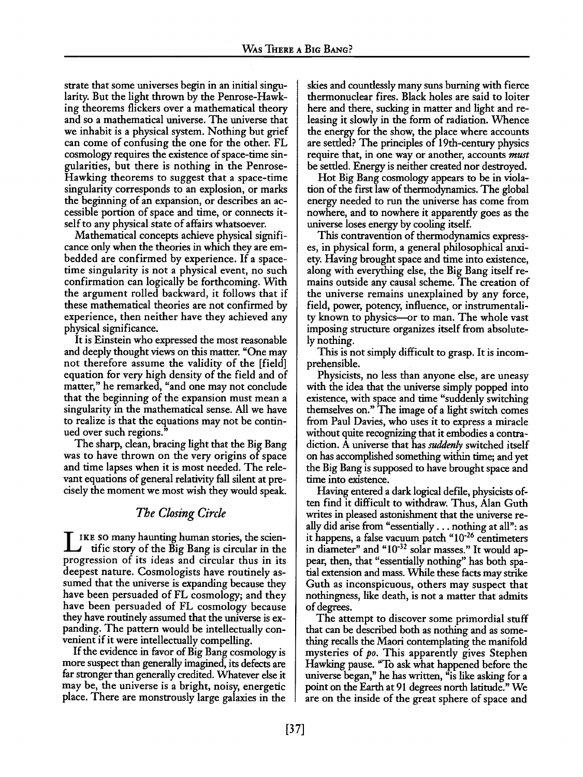strate that some universes begin in an initial singularity. But the light thrown by the Penrose-Hawking theorems flickers over a mathematical theory and so a mathematical universe. The universe that we inhabit is a physical system. Nothing but grief can come of confusing the one for the other. FL cosmology requires the existence of space-time singularities, but there is nothing in the Penrose-Hawking theorems to suggest that a space-time singularity corresponds to an explosion, or marks the beginning of an expansion, or describes an accessible portion of space and time, or connects itself to any physical state of affairs whatsoever.

Mathematical concepts achieve physical significance only when the theories in which they are embedded are confirmed by experience. If a spacetime singularity is not a physical event, no such confirmation can logically be forthcoming. With the argument rolled backward, it follows that if these mathematical theories are not confirmed by experience, then neither have they achieved any physical significance.

It is Einstein who expressed the most reasonable and deeply thought views on this matter. "One may not therefore assume the validity of the [field] equation for very high density of the field and of matter," he remarked, "and one may not conclude that the beginning of the expansion must mean a singularity in the mathematical sense. All we have to realize is that the equations may not be continued over such regions."

The sharp, clean, bracing light that the Big Bang was to have thrown on the very origins of space and time lapses when it is most needed. The relevant equations of general relativity fall silent at precisely the moment we most wish they would speak.

#### *The Closing Circle*

 $\lceil$  IKE SO many haunting human stories, the scientific story of the Big Bang is circular in the progression of its ideas and circular thus in its deepest nature. Cosmologists have routinely assumed that the universe is expanding because they have been persuaded of FL cosmology; and they have been persuaded of FL cosmology because they have routinely assumed that the universe is expanding. The pattern would be intellectually convenient if it were intellectually compelling.

If the evidence in favor of Big Bang cosmology is more suspect than generally imagined, its defects are far stronger than generally credited. Whatever else it may be, the universe is a bright, noisy, energetic place. There are monstrously large galaxies in the skies and countlessly many suns burning with fierce thermonuclear fires. Black holes are said to loiter here and there, sucking in matter and light and releasing it slowly in the form of radiation. Whence the energy for the show, the place where accounts are settled? The principles of 19th-century physics require that, in one way or another, accounts *must* be settled. Energy is neither created nor destroyed.

Hot Big Bang cosmology appears to be in violation of the first law of thermodynamics. The global energy needed to run the universe has come from nowhere, and to nowhere it apparently goes as the universe loses energy by cooling itself.

This contravention of thermodynamics expresses, in physical form, a general philosophical anxiety. Having brought space and time into existence, along with everything else, the Big Bang itself remains outside any causal scheme. The creation of the universe remains unexplained by any force, field, power, potency, influence, or instrumentality known to physics-or to man. The whole vast imposing structure organizes itself from absolutely nothing.

This is not simply difficult to grasp. It is incomprehensible.

Physicists, no less than anyone else, are uneasy with the idea that the universe simply popped into existence, with space and time "suddenly switching themselves on." The image of a light switch comes from Paul Davies, who uses it to express a miracle without quite recognizing that it embodies a contradiction. A universe that has *suddenly* switched itself on has accomplished something within time; and yet the Big Bang is supposed to have brought space and time into existence.

Having entered a dark logical defile, physicists often find it difficult to withdraw. Thus, Alan Guth writes in pleased astonishment that the universe really did arise from "essentially... nothing at all": as it happens, a false vacuum patch **"10-26** centimeters in diameter" and "10<sup>-32</sup> solar masses." It would appear, then, that "essentially nothing" has both spatial extension and mass. While these facts may strike Guth as inconspicuous, others may suspect that nothingness, like death, is not a matter that admits of degrees.

The attempt to discover some primordial stuff that can be described both as nothing and as something recalls the Maori contemplating the manifold mysteries of *po.* This apparently gives Stephen Hawking pause. "To ask what happened before the universe began," he has written, "is like asking for a point on the Earth at 91 degrees north latitude." We are on the inside of the great sphere of space and